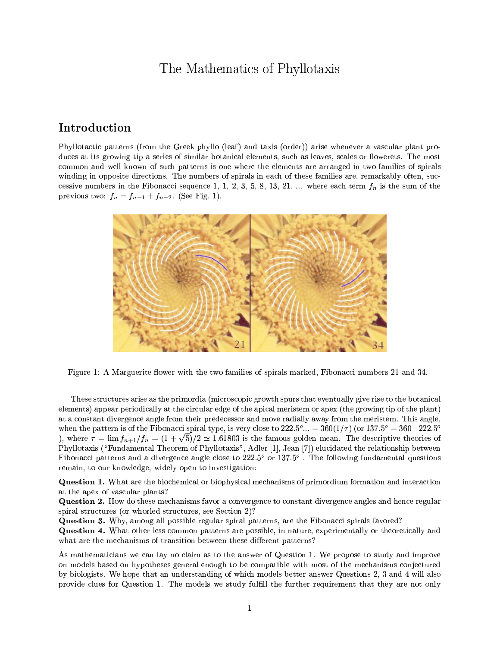# The Mathematics of Phyllotaxis

# Introduction

Phyllotactic patterns (from the Greek phyllo (leaf) and taxis (order)) arise whenever a vascular plant produces at its growing tip a series of similar botanical elements, such as leaves, scales or flowerets. The most common and well known of such patterns is one where the elements are arranged in two families of spirals winding in opposite directions. The numbers of spirals in each of these families are, remarkably often, successive numbers in the Fibonacci sequence 1, 1, 2, 3, 5, 8, 13, 21, ... where each term  $f_n$  is the sum of the previous two:  $f_n = f_{n-1} + f_{n-2}$ . (See Fig. 1).



Figure 1: A Marguerite flower with the two families of spirals marked, Fibonacci numbers 21 and 34.

These structures arise as the primordia (microscopic growth spurs that eventually give rise to the botanical elements) appear periodically at the circular edge of the apical meristem or apex (the growing tip of the plant) at a constant divergence angle from their predecessor and move radially away from the meristem. This angle, when the pattern is of the Fibonacci spiral type, is very close to  $222.5^\circ... = 360(1/\tau)$  (or  $137.5^\circ = 360-222.5^\circ$ ) ), where  $\tau = \lim f_{n+1}/f_n = (1+\sqrt{5})/2 \approx 1.61803$  is the famous golden mean. The descriptive theories of Phyllotaxis ("Fundamental Theorem of Phyllotaxis", Adler [1], Jean [7]) elucidated the relationship between Fibonacci patterns and a divergence angle close to  $222.5^{\circ}$  or  $137.5^{\circ}$ . The following fundamental questions remain, to our knowledge, widely open to investigation:

**Question 1.** What are the biochemical or biophysical mechanisms of primordium formation and interaction at the apex of vascular plants?

**Question 2.** How do these mechanisms favor a convergence to constant divergence angles and hence regular spiral structures (or whorled structures, see Section 2)?

Question 3. Why, among all possible regular spiral patterns, are the Fibonacci spirals favored?

**Question 4.** What other less common patterns are possible, in nature, experimentally or theoretically and what are the mechanisms of transition between these different patterns?

As mathematicians we can lay no claim as to the answer of Question 1. We propose to study and improve on models based on hypotheses general enough to be compatible with most of the mechanisms conjectured by biologists. We hope that an understanding of which models better answer Questions 2, 3 and 4 will also provide clues for Question 1. The models we study fulfill the further requirement that they are not only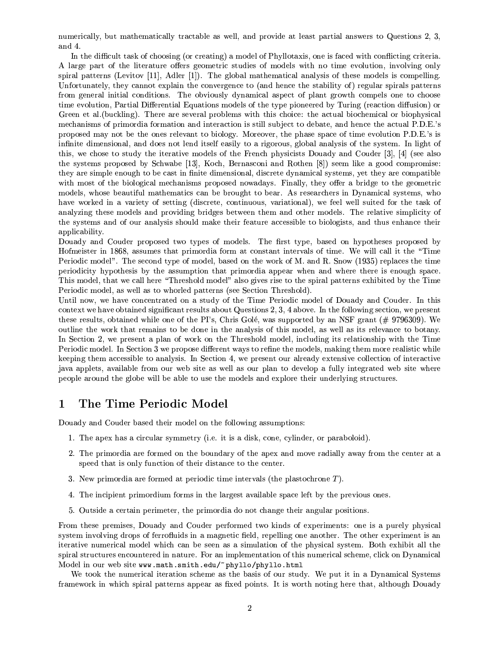numerically, but mathematically tractable as well, and provide at least partial answers to Questions 2, 3, and 4.

In the difficult task of choosing (or creating) a model of Phyllotaxis, one is faced with conflicting criteria. A large part of the literature offers geometric studies of models with no time evolution, involving only spiral patterns (Levitov [11], Adler [1]). The global mathematical analysis of these models is compelling. Unfortunately, they cannot explain the convergence to (and hence the stability of) regular spirals patterns from general initial conditions. The obviously dynamical aspect of plant growth compels one to choose time evolution, Partial Differential Equations models of the type pioneered by Turing (reaction diffusion) or Green et al. (buckling). There are several problems with this choice: the actual biochemical or biophysical mechanisms of primordia formation and interaction is still subject to debate, and hence the actual P.D.E.'s proposed may not be the ones relevant to biology. Moreover, the phase space of time evolution P.D.E.'s is infinite dimensional, and does not lend itself easily to a rigorous, global analysis of the system. In light of this, we chose to study the iterative models of the French physicists Douady and Couder [3], [4] (see also the systems proposed by Schwabe [13], Koch, Bernasconi and Rothen [8]) seem like a good compromise: they are simple enough to be cast in finite dimensional, discrete dynamical systems, yet they are compatible with most of the biological mechanisms proposed nowadays. Finally, they offer a bridge to the geometric models, whose beautiful mathematics can be brought to bear. As researchers in Dynamical systems, who have worked in a variety of setting (discrete, continuous, variational), we feel well suited for the task of analyzing these models and providing bridges between them and other models. The relative simplicity of the systems and of our analysis should make their feature accessible to biologists, and thus enhance their applicability.

Douady and Couder proposed two types of models. The first type, based on hypotheses proposed by Hofmeister in 1868, assumes that primordia form at constant intervals of time. We will call it the "Time Periodic model". The second type of model, based on the work of M, and R. Snow (1935) replaces the time periodicity hypothesis by the assumption that primordia appear when and where there is enough space. This model, that we call here "Threshold model" also gives rise to the spiral patterns exhibited by the Time Periodic model, as well as to whorled patterns (see Section Threshold).

Until now, we have concentrated on a study of the Time Periodic model of Douady and Couder. In this context we have obtained significant results about Questions 2, 3, 4 above. In the following section, we present these results, obtained while one of the PI's, Chris Golé, was supported by an NSF grant  $(\# 9796309)$ . We outline the work that remains to be done in the analysis of this model, as well as its relevance to botany. In Section 2, we present a plan of work on the Threshold model, including its relationship with the Time Periodic model. In Section 3 we propose different ways to refine the models, making them more realistic while keeping them accessible to analysis. In Section 4, we present our already extensive collection of interactive java applets, available from our web site as well as our plan to develop a fully integrated web site where people around the globe will be able to use the models and explore their underlying structures.

#### The Time Periodic Model  $\mathbf{1}$

Douady and Couder based their model on the following assumptions:

- 1. The apex has a circular symmetry (i.e. it is a disk, cone, cylinder, or paraboloid).
- 2. The primordia are formed on the boundary of the apex and move radially away from the center at a speed that is only function of their distance to the center.
- 3. New primordia are formed at periodic time intervals (the plastochrone  $T$ ).
- 4. The incipient primordium forms in the largest available space left by the previous ones.
- 5. Outside a certain perimeter, the primordia do not change their angular positions.

From these premises, Douady and Couder performed two kinds of experiments: one is a purely physical system involving drops of ferrofluids in a magnetic field, repelling one another. The other experiment is an iterative numerical model which can be seen as a simulation of the physical system. Both exhibit all the spiral structures encountered in nature. For an implementation of this numerical scheme, click on Dynamical Model in our web site www.math.smith.edu/~phyllo/phyllo.html

We took the numerical iteration scheme as the basis of our study. We put it in a Dynamical Systems framework in which spiral patterns appear as fixed points. It is worth noting here that, although Douady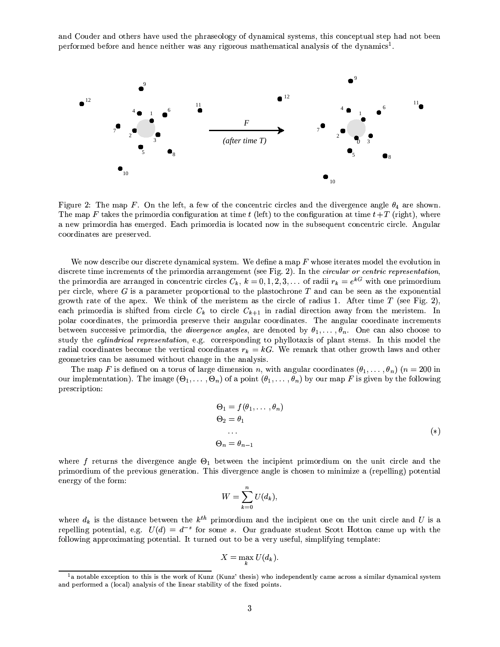and Couder and others have used the phraseology of dynamical systems, this conceptual step had not been performed before and hence neither was any rigorous mathematical analysis of the dynamics<sup>1</sup>.



Figure 2: The map F. On the left, a few of the concentric circles and the divergence angle  $\theta_4$  are shown. The map F takes the primordia configuration at time t (left) to the configuration at time  $t + T$  (right), where a new primordia has emerged. Each primordia is located now in the subsequent concentric circle. Angular coordinates are preserved.

We now describe our discrete dynamical system. We define a map  $F$  whose iterates model the evolution in discrete time increments of the primordia arrangement (see Fig. 2). In the *circular or centric representation*, the primordia are arranged in concentric circles  $C_k$ ,  $k = 0, 1, 2, 3, \ldots$  of radii  $r_k = e^{kG}$  with one primordium per circle, where  $G$  is a parameter proportional to the plastochrone  $T$  and can be seen as the exponential growth rate of the apex. We think of the meristem as the circle of radius 1. After time  $T$  (see Fig. 2), each primordia is shifted from circle  $C_k$  to circle  $C_{k+1}$  in radial direction away from the meristem. In polar coordinates, the primordia preserve their angular coordinates. The angular coordinate increments between successive primordia, the *divergence angles*, are denoted by  $\theta_1, \ldots, \theta_n$ . One can also choose to study the cylindrical representation, e.g. corresponding to phyllotaxis of plant stems. In this model the radial coordinates become the vertical coordinates  $r_k = kG$ . We remark that other growth laws and other geometries can be assumed without change in the analysis.

The map F is defined on a torus of large dimension n, with angular coordinates  $(\theta_1, \dots, \theta_n)$   $(n = 200$  in our implementation). The image  $(\Theta_1,\ldots,\Theta_n)$  of a point  $(\theta_1,\ldots,\theta_n)$  by our map F is given by the following prescription:

$$
\Theta_1 = f(\theta_1, \dots, \theta_n)
$$
  
\n
$$
\Theta_2 = \theta_1
$$
  
\n...  
\n
$$
\Theta_n = \theta_{n-1}
$$
  
\n(\*)

where f returns the divergence angle  $\Theta_1$  between the incipient primordium on the unit circle and the primordium of the previous generation. This divergence angle is chosen to minimize a (repelling) potential energy of the form:

$$
W = \sum_{k=0}^{n} U(d_k),
$$

where  $d_k$  is the distance between the  $k^{th}$  primordium and the incipient one on the unit circle and U is a repelling potential, e.g.  $U(d) = d^{-s}$  for some s. Our graduate student Scott Hotton came up with the following approximating potential. It turned out to be a very useful, simplifying template:

$$
X = \max_{k} U(d_k).
$$

<sup>&</sup>lt;sup>1</sup>a notable exception to this is the work of Kunz (Kunz' thesis) who independently came across a similar dynamical system and performed a (local) analysis of the linear stability of the fixed points.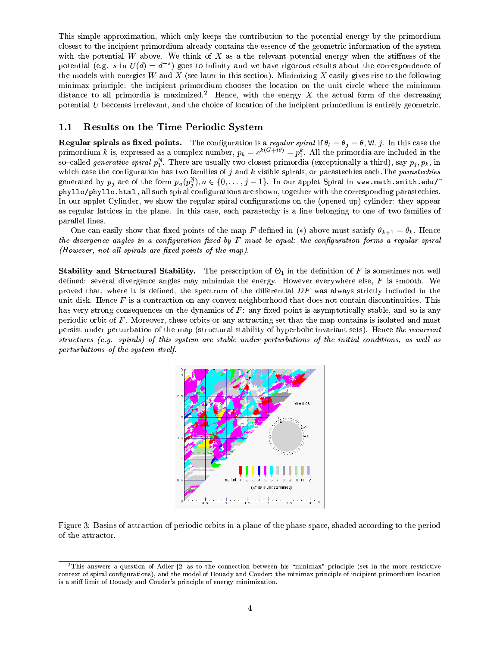This simple approximation, which only keeps the contribution to the potential energy by the primordium closest to the incipient primordium already contains the essence of the geometric information of the system with the potential W above. We think of X as a the relevant potential energy when the stiffness of the potential (e.g. s in  $U(d) = d^{-s}$ ) goes to infinity and we have rigorous results about the correspondence of the models with energies  $W$  and  $X$  (see later in this section). Minimizing  $X$  easily gives rise to the following minimax principle: the incipient primordium chooses the location on the unit circle where the minimum distance to all primordia is maximized.<sup>2</sup> Hence, with the energy  $X$  the actual form of the decreasing potential  $U$  becomes irrelevant, and the choice of location of the incipient primordium is entirely geometric.

#### Results on the Time Periodic System  $1.1$

**Regular spirals as fixed points.** The configuration is a *regular spiral* if  $\theta_l = \theta_j = \theta, \forall l, j$ . In this case the primordium k is, expressed as a complex number,  $p_k = e^{k(G+i\theta)} = p_1^k$ . All the primordia are included in the so-called *generative spiral*  $p_1^N$ . There are usually two closest primordia (exceptionally a third), say  $p_j, p_k$ , in which case the configuration has two families of  $j$  and  $k$  visible spirals, or parastechies each. The *parastechies* generated by  $p_j$  are of the form  $p_u(p_i^N), u \in \{0, \ldots, j-1\}$ . In our applet Spiral in www.math.smith.edu/ phyllo/phyllo.html, all such spiral configurations are shown, together with the corresponding parastechies. In our applet Cylinder, we show the regular spiral configurations on the (opened up) cylinder: they appear as regular lattices in the plane. In this case, each parastechy is a line belonging to one of two families of parallel lines.

One can easily show that fixed points of the map F defined in (\*) above must satisfy  $\theta_{k+1} = \theta_k$ . Hence the divergence angles in a configuration fixed by  $F$  must be equal: the configuration forms a regular spiral  $(However, not all spirals are fixed points of the map).$ 

**Stability and Structural Stability.** The prescription of  $\Theta_1$  in the definition of F is sometimes not well defined: several divergence angles may minimize the energy. However everywhere else,  $F$  is smooth. We proved that, where it is defined, the spectrum of the differential  $DF$  was always strictly included in the unit disk. Hence  $F$  is a contraction on any convex neighborhood that does not contain discontinuities. This has very strong consequences on the dynamics of  $F$ : any fixed point is asymptotically stable, and so is any periodic orbit of  $F$ . Moreover, these orbits or any attracting set that the map contains is isolated and must persist under perturbation of the map (structural stability of hyperbolic invariant sets). Hence the recurrent structures (e.g. spirals) of this system are stable under perturbations of the initial conditions, as well as perturbations of the system itself.



Figure 3: Basins of attraction of periodic orbits in a plane of the phase space, shaded according to the period of the attractor.

<sup>&</sup>lt;sup>2</sup>This answers a question of Adler  $[2]$  as to the connection between his "minimax" principle (set in the more restrictive context of spiral configurations), and the model of Douady and Couder: the minimax principle of incipient primordium location is a stiff limit of Douady and Couder's principle of energy minimization.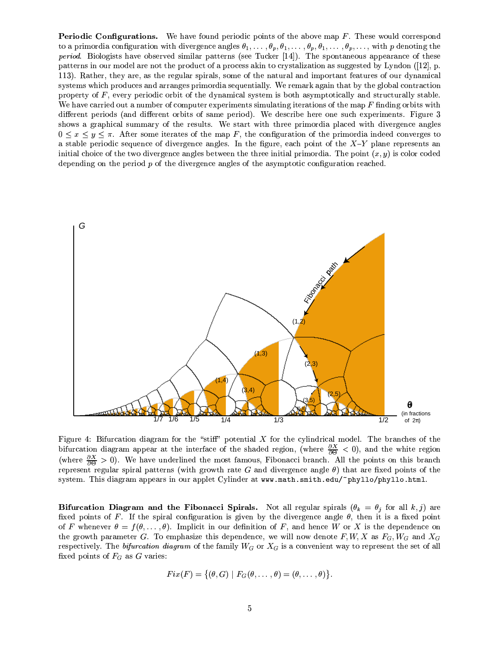**Periodic Configurations.** We have found periodic points of the above map  $F$ . These would correspond to a primordia configuration with divergence angles  $\theta_1,\ldots,\theta_p,\theta_1,\ldots,\theta_p,\theta_1,\ldots,\theta_p,\ldots$ , with p denoting the period. Biologists have observed similar patterns (see Tucker [14]). The spontaneous appearance of these patterns in our model are not the product of a process akin to crystalization as suggested by Lyndon ([12], p. 113). Rather, they are, as the regular spirals, some of the natural and important features of our dynamical systems which produces and arranges primordia sequentially. We remark again that by the global contraction property of  $F$ , every periodic orbit of the dynamical system is both asymptotically and structurally stable. We have carried out a number of computer experiments simulating iterations of the map  $F$  finding orbits with different periods (and different orbits of same period). We describe here one such experiments. Figure 3 shows a graphical summary of the results. We start with three primordia placed with divergence angles  $0 \leq x \leq y \leq \pi$ . After some iterates of the map F, the configuration of the primordia indeed converges to a stable periodic sequence of divergence angles. In the figure, each point of the  $X-Y$  plane represents an initial choice of the two divergence angles between the three initial primordia. The point  $(x, y)$  is color coded depending on the period  $p$  of the divergence angles of the asymptotic configuration reached.



Figure 4: Bifurcation diagram for the "stiff" potential  $X$  for the cylindrical model. The branches of the bifurcation diagram appear at the interface of the shaded region, (where  $\frac{\partial X}{\partial \Theta} < 0$ ), and the white region (where  $\frac{\partial X}{\partial \Theta} > 0$ ). We have underlined the most famous, Fibonacci branch. All the points on this branch represent regular spiral patterns (with growth rate G and divergence angle  $\theta$ ) that are fixed points of the system. This diagram appears in our applet Cylinder at www.math.smith.edu/~phyllo/phyllo.html.

Bifurcation Diagram and the Fibonacci Spirals. Not all regular spirals  $(\theta_k = \theta_j$  for all  $k, j)$  are fixed points of F. If the spiral configuration is given by the divergence angle  $\theta$ , then it is a fixed point of F whenever  $\theta = f(\theta, ..., \theta)$ . Implicit in our definition of F, and hence W or X is the dependence on the growth parameter G. To emphasize this dependence, we will now denote  $F, W, X$  as  $F_G, W_G$  and  $X_G$ respectively. The bifurcation diagram of the family  $W_G$  or  $X_G$  is a convenient way to represent the set of all fixed points of  $F_G$  as G varies:

$$
Fix(F)=\{(\theta,G)\,\,|\,\,F_G(\theta,\ldots,\theta)=(\theta,\ldots,\theta)\}.
$$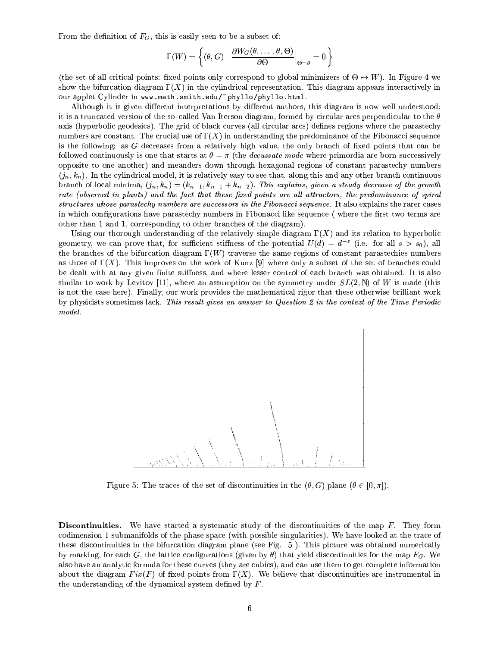From the definition of  $F_G$ , this is easily seen to be a subset of:

$$
\Gamma(W) = \left\{ (\theta, G) \middle| \left. \frac{\partial W_G(\theta, \dots, \theta, \Theta)}{\partial \Theta} \right|_{\Theta = \theta} = 0 \right\}
$$

(the set of all critical points: fixed points only correspond to global minimizers of  $\Theta \mapsto W$ ). In Figure 4 we show the bifurcation diagram  $\Gamma(X)$  in the cylindrical representation. This diagram appears interactively in our applet Cylinder in www.math.smith.edu/~phyllo/phyllo.html.

Although it is given different interpretations by different authors, this diagram is now well understood: it is a truncated version of the so-called Van Iterson diagram, formed by circular arcs perpendicular to the  $\theta$ axis (hyperbolic geodesics). The grid of black curves (all circular arcs) defines regions where the parastechy numbers are constant. The crucial use of  $\Gamma(X)$  in understanding the predominance of the Fibonacci sequence is the following: as G decreases from a relatively high value, the only branch of fixed points that can be followed continuously is one that starts at  $\theta = \pi$  (the *decussate mode* where primordia are born successively opposite to one another) and meanders down through hexagonal regions of constant parastechy numbers  $(j_n, k_n)$ . In the cylindrical model, it is relatively easy to see that, along this and any other branch continuous branch of local minima,  $(j_n, k_n) = (k_{n-1}, k_{n-1} + k_{n-2})$ . This explains, given a steady decrease of the growth rate (observed in plants) and the fact that these fixed points are all attractors, the predominance of spiral structures whose parastechy numbers are successors in the Fibonacci sequence. It also explains the rarer cases in which configurations have parastechy numbers in Fibonacci like sequence (where the first two terms are other than 1 and 1, corresponding to other branches of the diagram).

Using our thorough understanding of the relatively simple diagram  $\Gamma(X)$  and its relation to hyperbolic geometry, we can prove that, for sufficient stiffness of the potential  $U(d) = d^{-s}$  (i.e. for all  $s > s_0$ ), all the branches of the bifurcation diagram  $\Gamma(W)$  traverse the same regions of constant parastechies numbers as those of  $\Gamma(X)$ . This improves on the work of Kunz [9] where only a subset of the set of branches could be dealt with at any given finite stiffness, and where lesser control of each branch was obtained. It is also similar to work by Levitov [11], where an assumption on the symmetry under  $SL(2, \mathbb{N})$  of W is made (this is not the case here). Finally, our work provides the mathematical rigor that these otherwise brilliant work by physicists sometimes lack. This result gives an answer to Question 2 in the context of the Time Periodic model.



Figure 5: The traces of the set of discontinuities in the  $(\theta, G)$  plane  $(\theta \in [0, \pi])$ .

**Discontinuities.** We have started a systematic study of the discontinuities of the map F. They form codimension 1 submanifolds of the phase space (with possible singularities). We have looked at the trace of these discontinuities in the bifurcation diagram plane (see Fig. 5). This picture was obtained numerically by marking, for each G, the lattice configurations (given by  $\theta$ ) that yield discontinuities for the map  $F_G$ . We also have an analytic formula for these curves (they are cubics), and can use them to get complete information about the diagram  $Fix(F)$  of fixed points from  $\Gamma(X)$ . We believe that discontinuities are instrumental in the understanding of the dynamical system defined by  $F$ .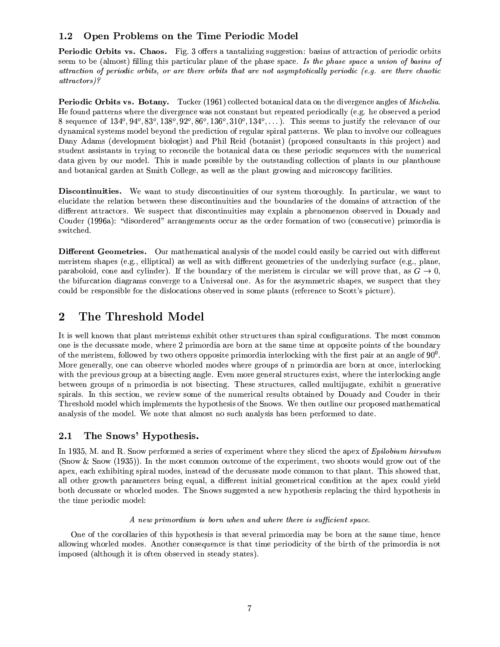#### Open Problems on the Time Periodic Model  $1.2$

**Periodic Orbits vs. Chaos.** Fig. 3 offers a tantalizing suggestion: basing of attraction of periodic orbits seem to be (almost) filling this particular plane of the phase space. Is the phase space a union of basins of attraction of periodic orbits, or are there orbits that are not asymptotically periodic (e.g. are there chaotic  $attractors$ ?

Periodic Orbits vs. Botany. Tucker (1961) collected botanical data on the divergence angles of *Michelia*. He found patterns where the divergence was not constant but repeated periodically (e.g. he observed a period 8 sequence of  $134^{\circ}, 94^{\circ}, 83^{\circ}, 138^{\circ}, 92^{\circ}, 86^{\circ}, 136^{\circ}, 310^{\circ}, 134^{\circ}, \ldots$ ). This seems to justify the relevance of our dynamical systems model beyond the prediction of regular spiral patterns. We plan to involve our colleagues Dany Adams (development biologist) and Phil Reid (botanist) (proposed consultants in this project) and student assistants in trying to reconcile the botanical data on these periodic sequences with the numerical data given by our model. This is made possible by the outstanding collection of plants in our planthouse and botanical garden at Smith College, as well as the plant growing and microscopy facilities.

**Discontinuities.** We want to study discontinuities of our system thoroughly. In particular, we want to elucidate the relation between these discontinuities and the boundaries of the domains of attraction of the different attractors. We suspect that discontinuities may explain a phenomenon observed in Douady and Couder (1996a): "disordered" arrangements occur as the order formation of two (consecutive) primordia is switched.

Different Geometries. Our mathematical analysis of the model could easily be carried out with different meristem shapes (e.g., elliptical) as well as with different geometries of the underlying surface (e.g., plane, paraboloid, cone and cylinder). If the boundary of the meristem is circular we will prove that, as  $G \to 0$ , the bifurcation diagrams converge to a Universal one. As for the asymmetric shapes, we suspect that they could be responsible for the dislocations observed in some plants (reference to Scott's picture).

### $\overline{2}$ The Threshold Model

It is well known that plant meristems exhibit other structures than spiral configurations. The most common one is the decussate mode, where 2 primordia are born at the same time at opposite points of the boundary of the meristem, followed by two others opposite primordia interlocking with the first pair at an angle of  $90^0$ . More generally, one can observe whorled modes where groups of n primordia are born at once, interlocking with the previous group at a bisecting angle. Even more general structures exist, where the interlocking angle between groups of n primordia is not bisecting. These structures, called multijugate, exhibit n generative spirals. In this section, we review some of the numerical results obtained by Douady and Couder in their Threshold model which implements the hypothesis of the Snows. We then outline our proposed mathematical analysis of the model. We note that almost no such analysis has been performed to date.

#### The Snows' Hypothesis.  $2.1$

In 1935, M. and R. Snow performed a series of experiment where they sliced the apex of Epilobium hirsutum (Snow & Snow (1935)). In the most common outcome of the experiment, two shoots would grow out of the apex, each exhibiting spiral modes, instead of the decussate mode common to that plant. This showed that, all other growth parameters being equal, a different initial geometrical condition at the apex could yield both decussate or whorled modes. The Snows suggested a new hypothesis replacing the third hypothesis in the time periodic model:

## A new primordium is born when and where there is sufficient space.

One of the corollaries of this hypothesis is that several primordia may be born at the same time, hence allowing whorled modes. Another consequence is that time periodicity of the birth of the primordia is not imposed (although it is often observed in steady states).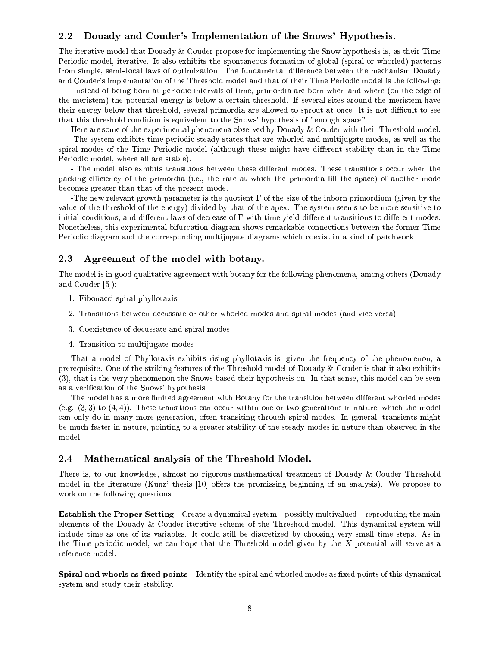#### Douady and Couder's Implementation of the Snows' Hypothesis.  $2.2$

The iterative model that Douady & Couder propose for implementing the Snow hypothesis is, as their Time Periodic model, iterative. It also exhibits the spontaneous formation of global (spiral or whorled) patterns from simple, semi-local laws of optimization. The fundamental difference between the mechanism Douady and Couder's implementation of the Threshold model and that of their Time Periodic model is the following:

-Instead of being born at periodic intervals of time, primordia are born when and where (on the edge of the meristem) the potential energy is below a certain threshold. If several sites around the meristem have their energy below that threshold, several primordia are allowed to sprout at once. It is not difficult to see that this threshold condition is equivalent to the Snows' hypothesis of "enough space".

Here are some of the experimental phenomena observed by Douady & Couder with their Threshold model: -The system exhibits time periodic steady states that are whorled and multijugate modes, as well as the spiral modes of the Time Periodic model (although these might have different stability than in the Time Periodic model, where all are stable).

- The model also exhibits transitions between these different modes. These transitions occur when the packing efficiency of the primordia (i.e., the rate at which the primordia fill the space) of another mode becomes greater than that of the present mode.

The new relevant growth parameter is the quotient  $\Gamma$  of the size of the inborn primordium (given by the value of the threshold of the energy) divided by that of the apex. The system seems to be more sensitive to initial conditions, and different laws of decrease of  $\Gamma$  with time vield different transitions to different modes. Nonetheless, this experimental bifurcation diagram shows remarkable connections between the former Time Periodic diagram and the corresponding multijugate diagrams which coexist in a kind of patchwork.

#### 2.3 Agreement of the model with botany.

The model is in good qualitative agreement with botany for the following phenomena, among others (Douady and Couder  $[5]$ :

- 1. Fibonacci spiral phyllotaxis
- 2. Transitions between decussate or other whorled modes and spiral modes (and vice versa)
- 3. Coexistence of decussate and spiral modes
- 4. Transition to multijugate modes

That a model of Phyllotaxis exhibits rising phyllotaxis is, given the frequency of the phenomenon, a prerequisite. One of the striking features of the Threshold model of Douady & Couder is that it also exhibits (3), that is the very phenomenon the Snows based their hypothesis on. In that sense, this model can be seen as a verification of the Snows' hypothesis.

The model has a more limited agreement with Botany for the transition between different whorled modes (e.g.  $(3,3)$ ) to  $(4,4)$ ). These transitions can occur within one or two generations in nature, which the model can only do in many more generation, often transiting through spiral modes. In general, transients might be much faster in nature, pointing to a greater stability of the steady modes in nature than observed in the model.

#### Mathematical analysis of the Threshold Model.  $2.4$

There is, to our knowledge, almost no rigorous mathematical treatment of Douady & Couder Threshold model in the literature (Kunz' thesis [10] offers the promissing beginning of an analysis). We propose to work on the following questions:

**Establish the Proper Setting** Create a dynamical system—possibly multivalued—reproducing the main elements of the Douady & Couder iterative scheme of the Threshold model. This dynamical system will include time as one of its variables. It could still be discretized by choosing very small time steps. As in the Time periodic model, we can hope that the Threshold model given by the X potential will serve as a reference model.

Spiral and whorls as fixed points Identify the spiral and whorled modes as fixed points of this dynamical system and study their stability.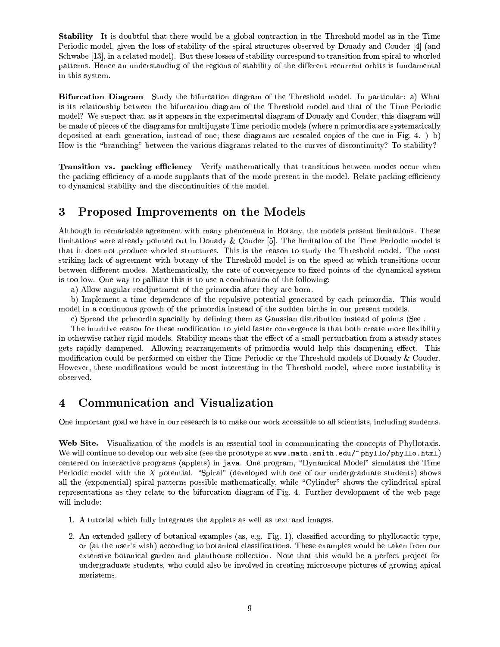**Stability** It is doubtful that there would be a global contraction in the Threshold model as in the Time Periodic model, given the loss of stability of the spiral structures observed by Douady and Couder [4] (and Schwabe [13], in a related model). But these losses of stability correspond to transition from spiral to whorled patterns. Hence an understanding of the regions of stability of the different recurrent orbits is fundamental in this system.

**Bifurcation Diagram** Study the bifurcation diagram of the Threshold model. In particular: a) What is its relationship between the bifurcation diagram of the Threshold model and that of the Time Periodic model? We suspect that, as it appears in the experimental diagram of Douady and Couder, this diagram will be made of pieces of the diagrams for multijugate Time periodic models (where n primordia are systematically deposited at each generation, instead of one; these diagrams are rescaled copies of the one in Fig. 4.  $\,$  b) How is the "branching" between the various diagrams related to the curves of discontinuity? To stability?

Transition vs. packing efficiency Verify mathematically that transitions between modes occur when the packing efficiency of a mode supplants that of the mode present in the model. Relate packing efficiency to dynamical stability and the discontinuities of the model.

### 3 Proposed Improvements on the Models

Although in remarkable agreement with many phenomena in Botany, the models present limitations. These limitations were already pointed out in Douady & Couder [5]. The limitation of the Time Periodic model is that it does not produce whorled structures. This is the reason to study the Threshold model. The most striking lack of agreement with botany of the Threshold model is on the speed at which transitions occur between different modes. Mathematically, the rate of convergence to fixed points of the dynamical system is too low. One way to palliate this is to use a combination of the following:

a) Allow angular readjustment of the primordia after they are born.

b) Implement a time dependence of the repulsive potential generated by each primordia. This would model in a continuous growth of the primordia instead of the sudden births in our present models.

c) Spread the primordia spacially by defining them as Gaussian distribution instead of points (See.

The intuitive reason for these modification to yield faster convergence is that both create more flexibility in otherwise rather rigid models. Stability means that the effect of a small perturbation from a steady states gets rapidly dampened. Allowing rearrangements of primordia would help this dampening effect. This modification could be performed on either the Time Periodic or the Threshold models of Douady & Couder. However, these modifications would be most interesting in the Threshold model, where more instability is observed.

### **Communication and Visualization**  $\overline{\mathbf{4}}$

One important goal we have in our research is to make our work accessible to all scientists, including students.

Web Site. Visualization of the models is an essential tool in communicating the concepts of Phyllotaxis. We will continue to develop our web site (see the prototype at www.math.smith.edu/~phyllo/phyllo.html) centered on interactive programs (applets) in java. One program, "Dynamical Model" simulates the Time Periodic model with the X potential. "Spiral" (developed with one of our undergraduate students) shows all the (exponential) spiral patterns possible mathematically, while "Cylinder" shows the cylindrical spiral representations as they relate to the bifurcation diagram of Fig. 4. Further development of the web page will include:

- 1. A tutorial which fully integrates the applets as well as text and images.
- 2. An extended gallery of botanical examples (as, e.g. Fig. 1), classified according to phyllotactic type, or (at the user's wish) according to botanical classifications. These examples would be taken from our extensive botanical garden and planthouse collection. Note that this would be a perfect project for undergraduate students, who could also be involved in creating microscope pictures of growing apical meristems.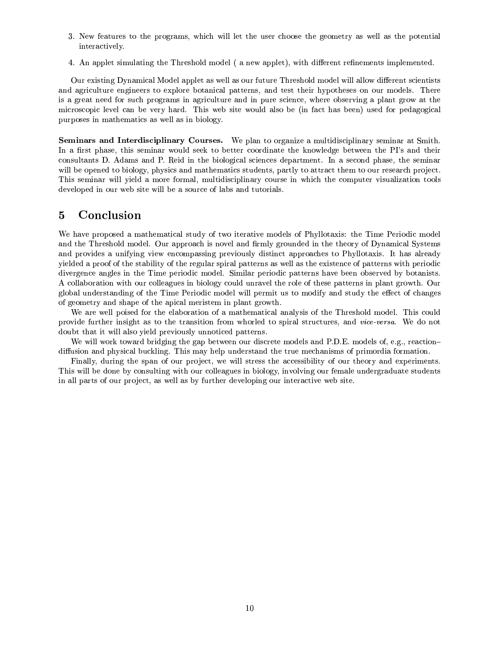- 3. New features to the programs, which will let the user choose the geometry as well as the potential interactively.
- 4. An applet simulating the Threshold model (a new applet), with different refinements implemented.

Our existing Dynamical Model applet as well as our future Threshold model will allow different scientists and agriculture engineers to explore botanical patterns, and test their hypotheses on our models. There is a great need for such programs in agriculture and in pure science, where observing a plant grow at the microscopic level can be very hard. This web site would also be (in fact has been) used for pedagogical purposes in mathematics as well as in biology.

Seminars and Interdisciplinary Courses. We plan to organize a multidisciplinary seminar at Smith. In a first phase, this seminar would seek to better coordinate the knowledge between the PI's and their consultants D. Adams and P. Reid in the biological sciences department. In a second phase, the seminar will be opened to biology, physics and mathematics students, partly to attract them to our research project. This seminar will yield a more formal, multidisciplinary course in which the computer visualization tools developed in our web site will be a source of labs and tutorials.

#### $\overline{5}$ Conclusion

We have proposed a mathematical study of two iterative models of Phyllotaxis: the Time Periodic model and the Threshold model. Our approach is novel and firmly grounded in the theory of Dynamical Systems and provides a unifying view encompassing previously distinct approaches to Phyllotaxis. It has already yielded a proof of the stability of the regular spiral patterns as well as the existence of patterns with periodic divergence angles in the Time periodic model. Similar periodic patterns have been observed by botanists. A collaboration with our colleagues in biology could unravel the role of these patterns in plant growth. Our global understanding of the Time Periodic model will permit us to modify and study the effect of changes of geometry and shape of the apical meristem in plant growth.

We are well poised for the elaboration of a mathematical analysis of the Threshold model. This could provide further insight as to the transition from whorled to spiral structures, and vice-versa. We do not doubt that it will also yield previously unnoticed patterns.

We will work toward bridging the gap between our discrete models and P.D.E. models of, e.g., reactiondiffusion and physical buckling. This may help understand the true mechanisms of primordia formation.

Finally, during the span of our project, we will stress the accessibility of our theory and experiments. This will be done by consulting with our colleagues in biology, involving our female undergraduate students in all parts of our project, as well as by further developing our interactive web site.